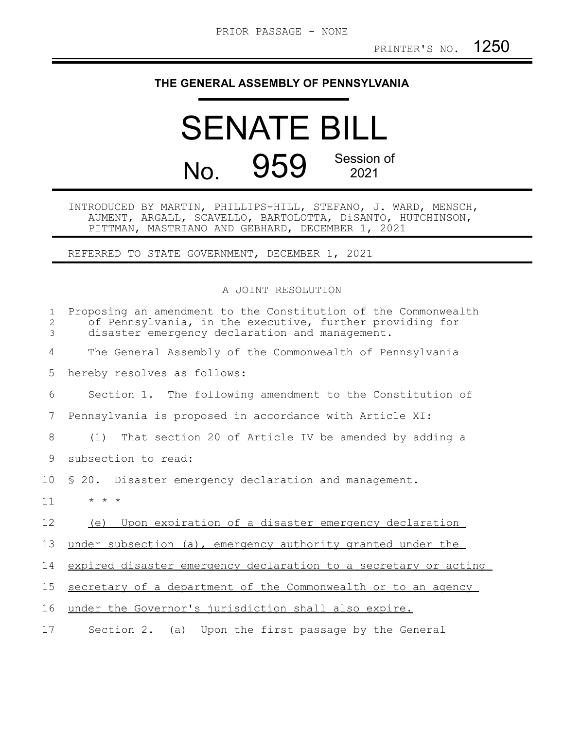## **THE GENERAL ASSEMBLY OF PENNSYLVANIA**

## SENATE BILL No. 959 Session of 2021

INTRODUCED BY MARTIN, PHILLIPS-HILL, STEFANO, J. WARD, MENSCH, AUMENT, ARGALL, SCAVELLO, BARTOLOTTA, DiSANTO, HUTCHINSON, PITTMAN, MASTRIANO AND GEBHARD, DECEMBER 1, 2021

REFERRED TO STATE GOVERNMENT, DECEMBER 1, 2021

## A JOINT RESOLUTION

| $\mathbf{1}$<br>$\mathbf{2}$<br>3 | Proposing an amendment to the Constitution of the Commonwealth<br>of Pennsylvania, in the executive, further providing for<br>disaster emergency declaration and management. |
|-----------------------------------|------------------------------------------------------------------------------------------------------------------------------------------------------------------------------|
| 4                                 | The General Assembly of the Commonwealth of Pennsylvania                                                                                                                     |
| 5                                 | hereby resolves as follows:                                                                                                                                                  |
| 6                                 | Section 1. The following amendment to the Constitution of                                                                                                                    |
| 7                                 | Pennsylvania is proposed in accordance with Article XI:                                                                                                                      |
| 8                                 | (1) That section 20 of Article IV be amended by adding a                                                                                                                     |
| 9                                 | subsection to read:                                                                                                                                                          |
| 10                                | \$ 20. Disaster emergency declaration and management.                                                                                                                        |
| 11                                | $\star$ $\star$ $\star$                                                                                                                                                      |
| 12                                | Upon expiration of a disaster emergency declaration<br>(e)                                                                                                                   |
| 13                                | under subsection (a), emergency authority granted under the                                                                                                                  |
| 14                                | expired disaster emergency declaration to a secretary or acting                                                                                                              |
| 15                                | secretary of a department of the Commonwealth or to an agency                                                                                                                |
| 16                                | under the Governor's jurisdiction shall also expire.                                                                                                                         |
| 17                                | Section 2. (a) Upon the first passage by the General                                                                                                                         |